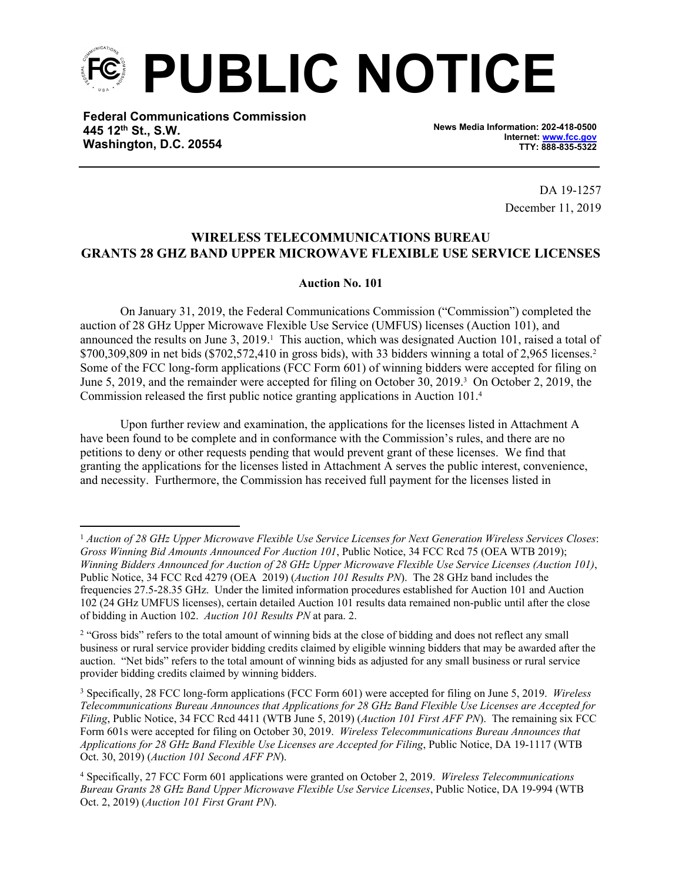

**Federal Communications Commission 445 12th St., S.W. Washington, D.C. 20554**

**News Media Information: 202-418-0500 Internet: [www.fcc.gov](file:///C:/Users/craig.bomberger/AppData/Local/Microsoft/Windows/Temporary%20Internet%20Files/Content.Outlook/BCL5QM18/www.fcc.gov) TTY: 888-835-5322**

> DA 19-1257 December 11, 2019

## **WIRELESS TELECOMMUNICATIONS BUREAU GRANTS 28 GHZ BAND UPPER MICROWAVE FLEXIBLE USE SERVICE LICENSES**

## **Auction No. 101**

On January 31, 2019, the Federal Communications Commission ("Commission") completed the auction of 28 GHz Upper Microwave Flexible Use Service (UMFUS) licenses (Auction 101), and announced the results on June 3, 2019.<sup>1</sup> This auction, which was designated Auction 101, raised a total of \$700,309,809 in net bids (\$702,572,410 in gross bids), with 33 bidders winning a total of 2,965 licenses.<sup>2</sup> Some of the FCC long-form applications (FCC Form 601) of winning bidders were accepted for filing on June 5, 2019, and the remainder were accepted for filing on October 30, 2019.<sup>3</sup> On October 2, 2019, the Commission released the first public notice granting applications in Auction 101.<sup>4</sup>

Upon further review and examination, the applications for the licenses listed in Attachment A have been found to be complete and in conformance with the Commission's rules, and there are no petitions to deny or other requests pending that would prevent grant of these licenses. We find that granting the applications for the licenses listed in Attachment A serves the public interest, convenience, and necessity. Furthermore, the Commission has received full payment for the licenses listed in

<sup>1</sup> *Auction of 28 GHz Upper Microwave Flexible Use Service Licenses for Next Generation Wireless Services Closes*: *Gross Winning Bid Amounts Announced For Auction 101*, Public Notice, 34 FCC Rcd 75 (OEA WTB 2019); *Winning Bidders Announced for Auction of 28 GHz Upper Microwave Flexible Use Service Licenses (Auction 101)*, Public Notice, 34 FCC Rcd 4279 (OEA 2019) (*Auction 101 Results PN*). The 28 GHz band includes the frequencies 27.5-28.35 GHz. Under the limited information procedures established for Auction 101 and Auction 102 (24 GHz UMFUS licenses), certain detailed Auction 101 results data remained non-public until after the close of bidding in Auction 102. *Auction 101 Results PN* at para. 2.

<sup>&</sup>lt;sup>2</sup> "Gross bids" refers to the total amount of winning bids at the close of bidding and does not reflect any small business or rural service provider bidding credits claimed by eligible winning bidders that may be awarded after the auction. "Net bids" refers to the total amount of winning bids as adjusted for any small business or rural service provider bidding credits claimed by winning bidders.

<sup>3</sup> Specifically, 28 FCC long-form applications (FCC Form 601) were accepted for filing on June 5, 2019. *Wireless Telecommunications Bureau Announces that Applications for 28 GHz Band Flexible Use Licenses are Accepted for Filing*, Public Notice, 34 FCC Rcd 4411 (WTB June 5, 2019) (*Auction 101 First AFF PN*). The remaining six FCC Form 601s were accepted for filing on October 30, 2019. *Wireless Telecommunications Bureau Announces that Applications for 28 GHz Band Flexible Use Licenses are Accepted for Filing*, Public Notice, DA 19-1117 (WTB Oct. 30, 2019) (*Auction 101 Second AFF PN*).

<sup>4</sup> Specifically, 27 FCC Form 601 applications were granted on October 2, 2019. *Wireless Telecommunications Bureau Grants 28 GHz Band Upper Microwave Flexible Use Service Licenses*, Public Notice, DA 19-994 (WTB Oct. 2, 2019) (*Auction 101 First Grant PN*).